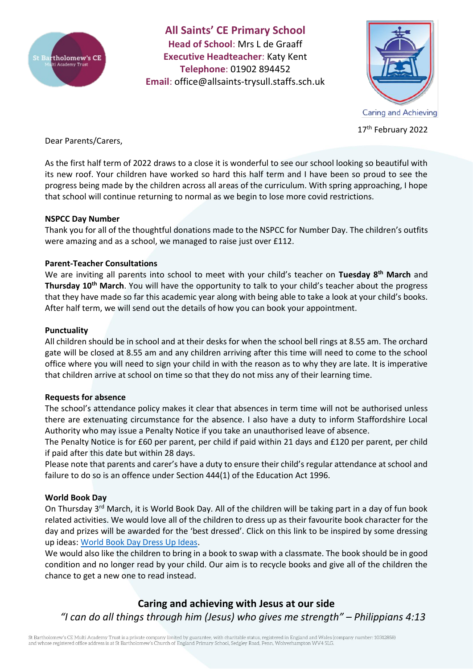

**All Saints' CE Primary School Head of School**: Mrs L de Graaff **Executive Headteacher**: Katy Kent **Telephone**: 01902 894452 **Email**: [office@allsaints-trysull.staffs.sch.uk](mailto:office@allsaints-trysull.staffs.sch.uk)



17<sup>th</sup> February 2022

Dear Parents/Carers,

As the first half term of 2022 draws to a close it is wonderful to see our school looking so beautiful with its new roof. Your children have worked so hard this half term and I have been so proud to see the progress being made by the children across all areas of the curriculum. With spring approaching, I hope that school will continue returning to normal as we begin to lose more covid restrictions.

# **NSPCC Day Number**

Thank you for all of the thoughtful donations made to the NSPCC for Number Day. The children's outfits were amazing and as a school, we managed to raise just over £112.

# **Parent-Teacher Consultations**

We are inviting all parents into school to meet with your child's teacher on **Tuesday 8th March** and **Thursday 10th March**. You will have the opportunity to talk to your child's teacher about the progress that they have made so far this academic year along with being able to take a look at your child's books. After half term, we will send out the details of how you can book your appointment.

# **Punctuality**

All children should be in school and at their desks for when the school bell rings at 8.55 am. The orchard gate will be closed at 8.55 am and any children arriving after this time will need to come to the school office where you will need to sign your child in with the reason as to why they are late. It is imperative that children arrive at school on time so that they do not miss any of their learning time.

# **Requests for absence**

The school's attendance policy makes it clear that absences in term time will not be authorised unless there are extenuating circumstance for the absence. I also have a duty to inform Staffordshire Local Authority who may issue a Penalty Notice if you take an unauthorised leave of absence.

The Penalty Notice is for £60 per parent, per child if paid within 21 days and £120 per parent, per child if paid after this date but within 28 days.

Please note that parents and carer's have a duty to ensure their child's regular attendance at school and failure to do so is an offence under Section 444(1) of the Education Act 1996.

# **World Book Day**

On Thursday 3rd March, it is World Book Day. All of the children will be taking part in a day of fun book related activities. We would love all of the children to dress up as their favourite book character for the day and prizes will be awarded for the 'best dressed'. Click on this link to be inspired by some dressing up ideas: [World Book Day Dress Up Ideas.](https://www.worldbookday.com/dressing-up-ideas/)

We would also like the children to bring in a book to swap with a classmate. The book should be in good condition and no longer read by your child. Our aim is to recycle books and give all of the children the chance to get a new one to read instead.

# **Caring and achieving with Jesus at our side** *"I can do all things through him (Jesus) who gives me strength" – Philippians 4:13*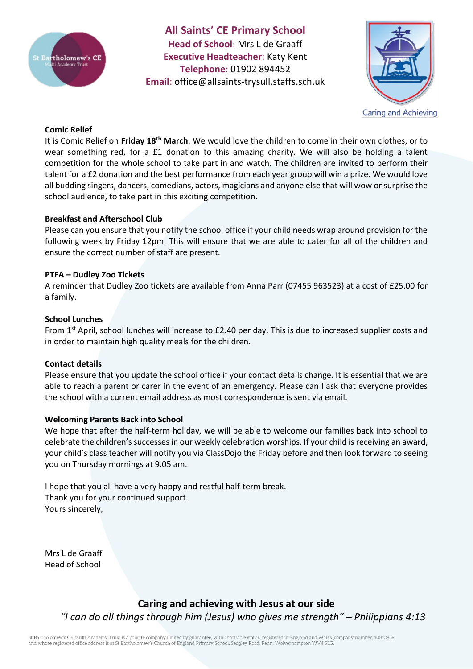

**All Saints' CE Primary School Head of School**: Mrs L de Graaff **Executive Headteacher**: Katy Kent **Telephone**: 01902 894452 **Email**: [office@allsaints-trysull.staffs.sch.uk](mailto:office@allsaints-trysull.staffs.sch.uk)



#### **Comic Relief**

It is Comic Relief on **Friday 18th March**. We would love the children to come in their own clothes, or to wear something red, for a £1 donation to this amazing charity. We will also be holding a talent competition for the whole school to take part in and watch. The children are invited to perform their talent for a £2 donation and the best performance from each year group will win a prize. We would love all budding singers, dancers, comedians, actors, magicians and anyone else that will wow or surprise the school audience, to take part in this exciting competition.

#### **Breakfast and Afterschool Club**

Please can you ensure that you notify the school office if your child needs wrap around provision for the following week by Friday 12pm. This will ensure that we are able to cater for all of the children and ensure the correct number of staff are present.

#### **PTFA – Dudley Zoo Tickets**

A reminder that Dudley Zoo tickets are available from Anna Parr (07455 963523) at a cost of £25.00 for a family.

#### **School Lunches**

From 1<sup>st</sup> April, school lunches will increase to £2.40 per day. This is due to increased supplier costs and in order to maintain high quality meals for the children.

# **Contact details**

Please ensure that you update the school office if your contact details change. It is essential that we are able to reach a parent or carer in the event of an emergency. Please can I ask that everyone provides the school with a current email address as most correspondence is sent via email.

#### **Welcoming Parents Back into School**

We hope that after the half-term holiday, we will be able to welcome our families back into school to celebrate the children's successes in our weekly celebration worships. If your child is receiving an award, your child's class teacher will notify you via ClassDojo the Friday before and then look forward to seeing you on Thursday mornings at 9.05 am.

I hope that you all have a very happy and restful half-term break. Thank you for your continued support. Yours sincerely,

Mrs L de Graaff Head of School

> **Caring and achieving with Jesus at our side** *"I can do all things through him (Jesus) who gives me strength" – Philippians 4:13*